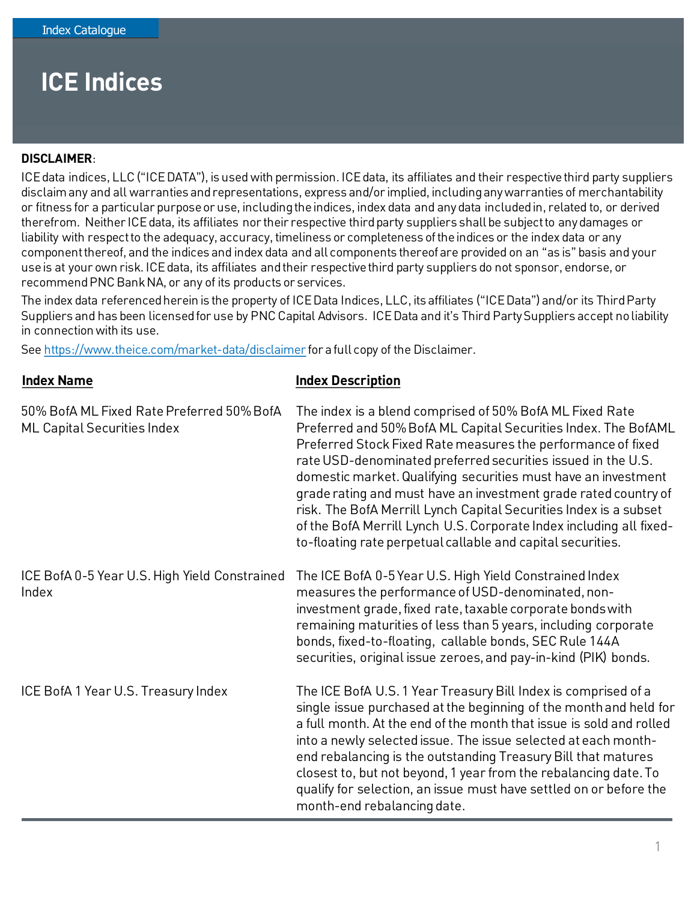### **DISCLAIMER**:

ICE data indices, LLC ("ICE DATA"), is used with permission. ICE data, its affiliates and their respective third party suppliers disclaim any and all warranties and representations, express and/or implied, including any warranties of merchantability or fitness for a particular purpose or use, including the indices, index data and any data included in, related to, or derived therefrom. Neither ICE data, its affiliates nor their respective third party suppliers shall be subject to any damages or liability with respect to the adequacy, accuracy, timeliness or completeness of the indices or the index data or any component thereof, and the indices and index data and all components thereof are provided on an "as is" basis and your use is at your own risk. ICE data, its affiliates and their respective third party suppliers do not sponsor, endorse, or recommend PNC Bank NA, or any of its products or services.

The index data referenced herein is the property of ICE Data Indices, LLC, its affiliates ("ICE Data") and/or its Third Party Suppliers and has been licensed for use by PNC Capital Advisors. ICE Data and it's Third Party Suppliers accept no liability in connection with its use.

See<https://www.theice.com/market-data/disclaimer> for a full copy of the Disclaimer.

### **Index Name Index Description**

| 50% BofA ML Fixed Rate Preferred 50% BofA<br>ML Capital Securities Index | The index is a blend comprised of 50% BofA ML Fixed Rate<br>Preferred and 50% BofA ML Capital Securities Index. The BofAML<br>Preferred Stock Fixed Rate measures the performance of fixed<br>rate USD-denominated preferred securities issued in the U.S.<br>domestic market. Qualifying securities must have an investment<br>grade rating and must have an investment grade rated country of<br>risk. The BofA Merrill Lynch Capital Securities Index is a subset<br>of the BofA Merrill Lynch U.S. Corporate Index including all fixed-<br>to-floating rate perpetual callable and capital securities. |
|--------------------------------------------------------------------------|------------------------------------------------------------------------------------------------------------------------------------------------------------------------------------------------------------------------------------------------------------------------------------------------------------------------------------------------------------------------------------------------------------------------------------------------------------------------------------------------------------------------------------------------------------------------------------------------------------|
| ICE BofA 0-5 Year U.S. High Yield Constrained<br>Index                   | The ICE BofA 0-5 Year U.S. High Yield Constrained Index<br>measures the performance of USD-denominated, non-<br>investment grade, fixed rate, taxable corporate bonds with<br>remaining maturities of less than 5 years, including corporate<br>bonds, fixed-to-floating, callable bonds, SEC Rule 144A<br>securities, original issue zeroes, and pay-in-kind (PIK) bonds.                                                                                                                                                                                                                                 |
| ICE BofA 1 Year U.S. Treasury Index                                      | The ICE BofA U.S. 1 Year Treasury Bill Index is comprised of a<br>single issue purchased at the beginning of the month and held for<br>a full month. At the end of the month that issue is sold and rolled<br>into a newly selected issue. The issue selected at each month-<br>end rebalancing is the outstanding Treasury Bill that matures<br>closest to, but not beyond, 1 year from the rebalancing date. To<br>qualify for selection, an issue must have settled on or before the<br>month-end rebalancing date.                                                                                     |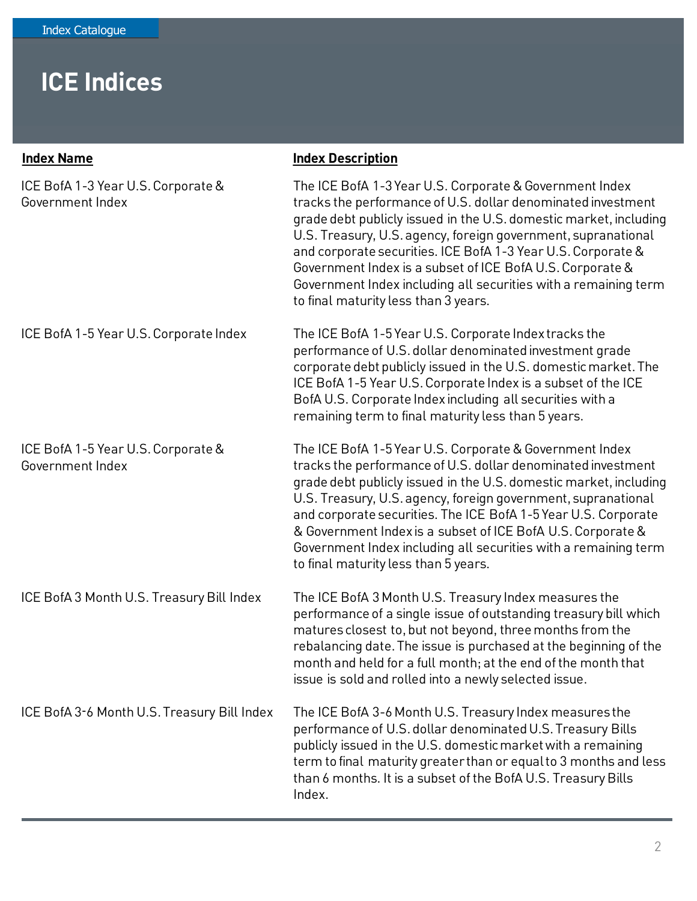| <b>Index Name</b>                                      | <b>Index Description</b>                                                                                                                                                                                                                                                                                                                                                                                                                                                                                  |
|--------------------------------------------------------|-----------------------------------------------------------------------------------------------------------------------------------------------------------------------------------------------------------------------------------------------------------------------------------------------------------------------------------------------------------------------------------------------------------------------------------------------------------------------------------------------------------|
| ICE BofA 1-3 Year U.S. Corporate &<br>Government Index | The ICE BofA 1-3 Year U.S. Corporate & Government Index<br>tracks the performance of U.S. dollar denominated investment<br>grade debt publicly issued in the U.S. domestic market, including<br>U.S. Treasury, U.S. agency, foreign government, supranational<br>and corporate securities. ICE BofA 1-3 Year U.S. Corporate &<br>Government Index is a subset of ICE BofA U.S. Corporate &<br>Government Index including all securities with a remaining term<br>to final maturity less than 3 years.     |
| ICE BofA 1-5 Year U.S. Corporate Index                 | The ICE BofA 1-5 Year U.S. Corporate Index tracks the<br>performance of U.S. dollar denominated investment grade<br>corporate debt publicly issued in the U.S. domestic market. The<br>ICE BofA 1-5 Year U.S. Corporate Index is a subset of the ICE<br>BofA U.S. Corporate Index including all securities with a<br>remaining term to final maturity less than 5 years.                                                                                                                                  |
| ICE BofA 1-5 Year U.S. Corporate &<br>Government Index | The ICE BofA 1-5 Year U.S. Corporate & Government Index<br>tracks the performance of U.S. dollar denominated investment<br>grade debt publicly issued in the U.S. domestic market, including<br>U.S. Treasury, U.S. agency, foreign government, supranational<br>and corporate securities. The ICE BofA 1-5 Year U.S. Corporate<br>& Government Index is a subset of ICE BofA U.S. Corporate &<br>Government Index including all securities with a remaining term<br>to final maturity less than 5 years. |
| ICE BofA 3 Month U.S. Treasury Bill Index              | The ICE BofA 3 Month U.S. Treasury Index measures the<br>performance of a single issue of outstanding treasury bill which<br>matures closest to, but not beyond, three months from the<br>rebalancing date. The issue is purchased at the beginning of the<br>month and held for a full month; at the end of the month that<br>issue is sold and rolled into a newly selected issue.                                                                                                                      |
| ICE BofA 3-6 Month U.S. Treasury Bill Index            | The ICE BofA 3-6 Month U.S. Treasury Index measures the<br>performance of U.S. dollar denominated U.S. Treasury Bills<br>publicly issued in the U.S. domestic market with a remaining<br>term to final maturity greater than or equal to 3 months and less<br>than 6 months. It is a subset of the BofA U.S. Treasury Bills<br>Index.                                                                                                                                                                     |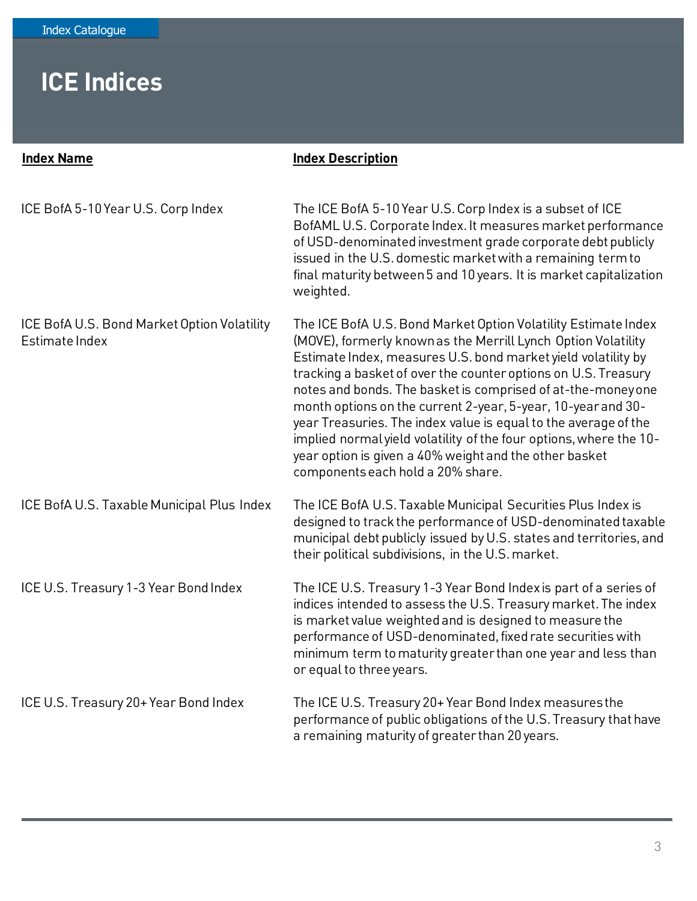| <b>Index Name</b>                                             | <b>Index Description</b>                                                                                                                                                                                                                                                                                                                                                                                                                                                                                                                                                                                                                  |
|---------------------------------------------------------------|-------------------------------------------------------------------------------------------------------------------------------------------------------------------------------------------------------------------------------------------------------------------------------------------------------------------------------------------------------------------------------------------------------------------------------------------------------------------------------------------------------------------------------------------------------------------------------------------------------------------------------------------|
| ICE BofA 5-10 Year U.S. Corp Index                            | The ICE BofA 5-10 Year U.S. Corp Index is a subset of ICE<br>BofAML U.S. Corporate Index. It measures market performance<br>of USD-denominated investment grade corporate debt publicly<br>issued in the U.S. domestic market with a remaining term to<br>final maturity between 5 and 10 years. It is market capitalization<br>weighted.                                                                                                                                                                                                                                                                                                 |
| ICE BofA U.S. Bond Market Option Volatility<br>Estimate Index | The ICE BofA U.S. Bond Market Option Volatility Estimate Index<br>(MOVE), formerly known as the Merrill Lynch Option Volatility<br>Estimate Index, measures U.S. bond market yield volatility by<br>tracking a basket of over the counter options on U.S. Treasury<br>notes and bonds. The basket is comprised of at-the-moneyone<br>month options on the current 2-year, 5-year, 10-year and 30-<br>year Treasuries. The index value is equal to the average of the<br>implied normal yield volatility of the four options, where the 10-<br>year option is given a 40% weight and the other basket<br>components each hold a 20% share. |
| ICE BofA U.S. Taxable Municipal Plus Index                    | The ICE BofA U.S. Taxable Municipal Securities Plus Index is<br>designed to track the performance of USD-denominated taxable<br>municipal debt publicly issued by U.S. states and territories, and<br>their political subdivisions, in the U.S. market.                                                                                                                                                                                                                                                                                                                                                                                   |
| ICE U.S. Treasury 1-3 Year Bond Index                         | The ICE U.S. Treasury 1-3 Year Bond Index is part of a series of<br>indices intended to assess the U.S. Treasury market. The index<br>is market value weighted and is designed to measure the<br>performance of USD-denominated, fixed rate securities with<br>minimum term to maturity greater than one year and less than<br>or equal to three years.                                                                                                                                                                                                                                                                                   |
| ICE U.S. Treasury 20+ Year Bond Index                         | The ICE U.S. Treasury 20+ Year Bond Index measures the<br>performance of public obligations of the U.S. Treasury that have<br>a remaining maturity of greater than 20 years.                                                                                                                                                                                                                                                                                                                                                                                                                                                              |